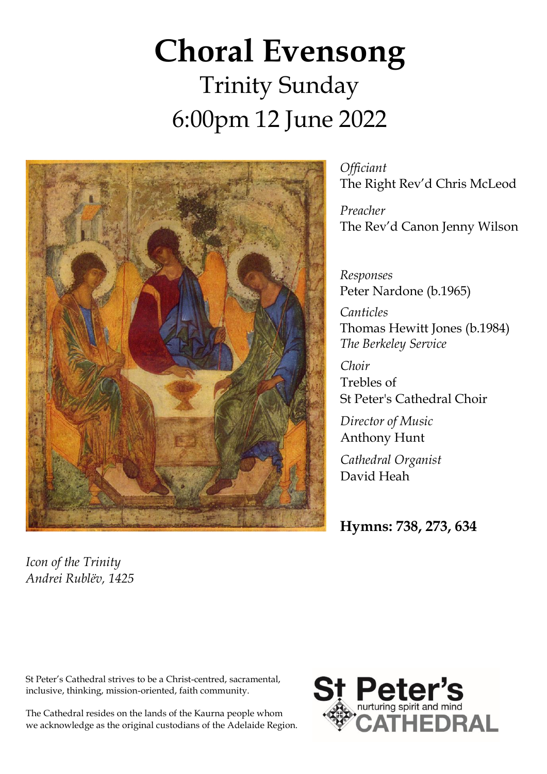# **Choral Evensong** Trinity Sunday 6:00pm 12 June 2022



*Officiant* The Right Rev'd Chris McLeod

*Preacher* The Rev'd Canon Jenny Wilson

*Responses* Peter Nardone (b.1965)

*Canticles* Thomas Hewitt Jones (b.1984) *The Berkeley Service*

*Choir* Trebles of St Peter's Cathedral Choir

*Director of Music* Anthony Hunt *Cathedral Organist* David Heah

**Hymns: 738, 273, 634**

*Icon of the Trinity Andrei Rublëv, 1425*

St Peter's Cathedral strives to be a Christ-centred, sacramental, inclusive, thinking, mission-oriented, faith community.

The Cathedral resides on the lands of the Kaurna people whom we acknowledge as the original custodians of the Adelaide Region.

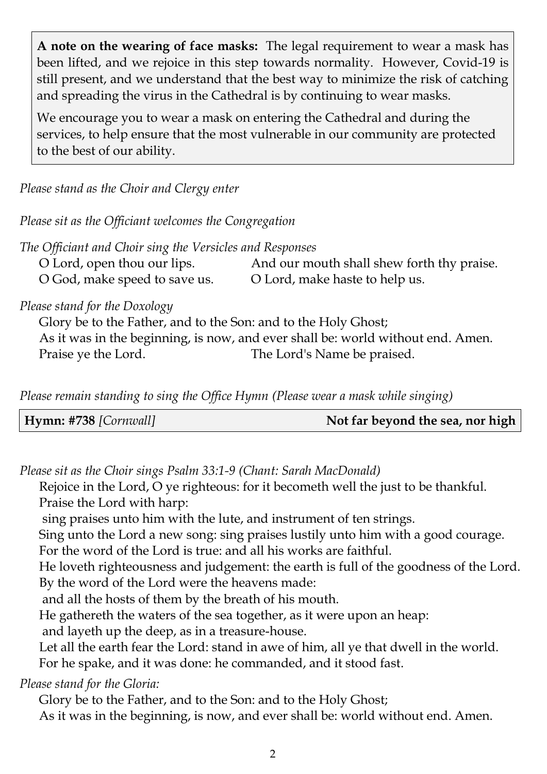**A note on the wearing of face masks:** The legal requirement to wear a mask has been lifted, and we rejoice in this step towards normality. However, Covid-19 is still present, and we understand that the best way to minimize the risk of catching and spreading the virus in the Cathedral is by continuing to wear masks.

We encourage you to wear a mask on entering the Cathedral and during the services, to help ensure that the most vulnerable in our community are protected to the best of our ability.

*Please stand as the Choir and Clergy enter*

*Please sit as the Officiant welcomes the Congregation*

| The Officiant and Choir sing the Versicles and Responses |                                            |
|----------------------------------------------------------|--------------------------------------------|
| O Lord, open thou our lips.                              | And our mouth shall shew forth thy praise. |
| O God, make speed to save us.                            | O Lord, make haste to help us.             |

*Please stand for the Doxology*

Glory be to the Father, and to the Son: and to the Holy Ghost; As it was in the beginning, is now, and ever shall be: world without end. Amen. Praise ye the Lord. The Lord's Name be praised.

*Please remain standing to sing the Office Hymn (Please wear a mask while singing)*

*Please sit as the Choir sings Psalm 33:1-9 (Chant: Sarah MacDonald)*

Rejoice in the Lord, O ye righteous: for it becometh well the just to be thankful. Praise the Lord with harp:

sing praises unto him with the lute, and instrument of ten strings.

Sing unto the Lord a new song: sing praises lustily unto him with a good courage.

For the word of the Lord is true: and all his works are faithful.

He loveth righteousness and judgement: the earth is full of the goodness of the Lord. By the word of the Lord were the heavens made:

and all the hosts of them by the breath of his mouth.

He gathereth the waters of the sea together, as it were upon an heap:

and layeth up the deep, as in a treasure-house.

Let all the earth fear the Lord: stand in awe of him, all ye that dwell in the world.

For he spake, and it was done: he commanded, and it stood fast.

*Please stand for the Gloria:* 

Glory be to the Father, and to the Son: and to the Holy Ghost;

As it was in the beginning, is now, and ever shall be: world without end. Amen.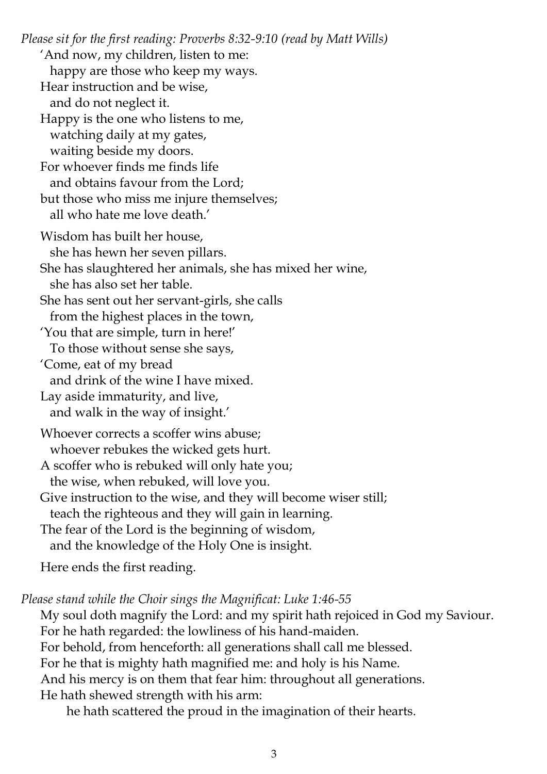*Please sit for the first reading: Proverbs 8:32-9:10 (read by Matt Wills)* 'And now, my children, listen to me: happy are those who keep my ways. Hear instruction and be wise, and do not neglect it. Happy is the one who listens to me, watching daily at my gates, waiting beside my doors. For whoever finds me finds life and obtains favour from the Lord; but those who miss me injure themselves; all who hate me love death.' Wisdom has built her house, she has hewn her seven pillars. She has slaughtered her animals, she has mixed her wine, she has also set her table. She has sent out her servant-girls, she calls from the highest places in the town, 'You that are simple, turn in here!' To those without sense she says, 'Come, eat of my bread and drink of the wine I have mixed. Lay aside immaturity, and live, and walk in the way of insight.' Whoever corrects a scoffer wins abuse; whoever rebukes the wicked gets hurt. A scoffer who is rebuked will only hate you; the wise, when rebuked, will love you. Give instruction to the wise, and they will become wiser still; teach the righteous and they will gain in learning. The fear of the Lord is the beginning of wisdom, and the knowledge of the Holy One is insight. Here ends the first reading.

*Please stand while the Choir sings the Magnificat: Luke 1:46-55*

My soul doth magnify the Lord: and my spirit hath rejoiced in God my Saviour. For he hath regarded: the lowliness of his hand-maiden. For behold, from henceforth: all generations shall call me blessed. For he that is mighty hath magnified me: and holy is his Name. And his mercy is on them that fear him: throughout all generations. He hath shewed strength with his arm:

he hath scattered the proud in the imagination of their hearts.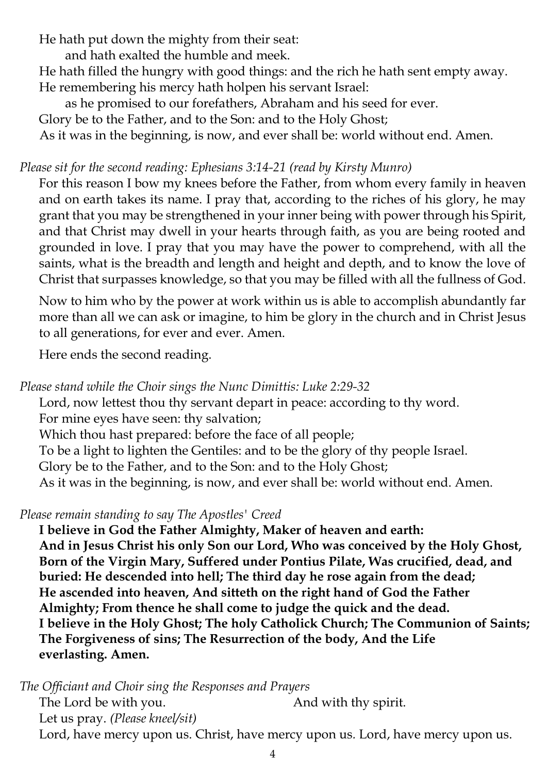He hath put down the mighty from their seat:

- and hath exalted the humble and meek.
- He hath filled the hungry with good things: and the rich he hath sent empty away. He remembering his mercy hath holpen his servant Israel:
	- as he promised to our forefathers, Abraham and his seed for ever.

Glory be to the Father, and to the Son: and to the Holy Ghost;

As it was in the beginning, is now, and ever shall be: world without end. Amen.

## *Please sit for the second reading: Ephesians 3:14-21 (read by Kirsty Munro)*

For this reason I bow my knees before the Father, from whom every family in heaven and on earth takes its name. I pray that, according to the riches of his glory, he may grant that you may be strengthened in your inner being with power through his Spirit, and that Christ may dwell in your hearts through faith, as you are being rooted and grounded in love. I pray that you may have the power to comprehend, with all the saints, what is the breadth and length and height and depth, and to know the love of Christ that surpasses knowledge, so that you may be filled with all the fullness of God.

Now to him who by the power at work within us is able to accomplish abundantly far more than all we can ask or imagine, to him be glory in the church and in Christ Jesus to all generations, for ever and ever. Amen.

Here ends the second reading.

*Please stand while the Choir sings the Nunc Dimittis: Luke 2:29-32*

Lord, now lettest thou thy servant depart in peace: according to thy word.

For mine eyes have seen: thy salvation;

Which thou hast prepared: before the face of all people;

To be a light to lighten the Gentiles: and to be the glory of thy people Israel.

Glory be to the Father, and to the Son: and to the Holy Ghost;

As it was in the beginning, is now, and ever shall be: world without end. Amen.

## *Please remain standing to say The Apostles' Creed*

**I believe in God the Father Almighty, Maker of heaven and earth: And in Jesus Christ his only Son our Lord, Who was conceived by the Holy Ghost, Born of the Virgin Mary, Suffered under Pontius Pilate, Was crucified, dead, and buried: He descended into hell; The third day he rose again from the dead; He ascended into heaven, And sitteth on the right hand of God the Father Almighty; From thence he shall come to judge the quick and the dead. I believe in the Holy Ghost; The holy Catholick Church; The Communion of Saints; The Forgiveness of sins; The Resurrection of the body, And the Life everlasting. Amen.**

*The Officiant and Choir sing the Responses and Prayers*

The Lord be with you. And with thy spirit. Let us pray. *(Please kneel/sit)* Lord, have mercy upon us. Christ, have mercy upon us*.* Lord, have mercy upon us.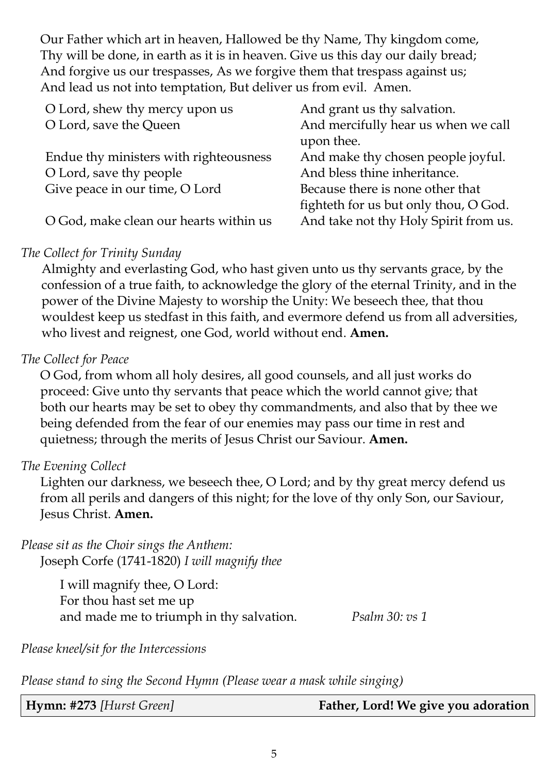Our Father which art in heaven, Hallowed be thy Name, Thy kingdom come, Thy will be done, in earth as it is in heaven. Give us this day our daily bread; And forgive us our trespasses, As we forgive them that trespass against us; And lead us not into temptation, But deliver us from evil. Amen.

| O Lord, shew thy mercy upon us         | And grant us thy salvation.           |
|----------------------------------------|---------------------------------------|
| O Lord, save the Queen                 | And mercifully hear us when we call   |
|                                        | upon thee.                            |
| Endue thy ministers with righteousness | And make thy chosen people joyful.    |
| O Lord, save thy people                | And bless thine inheritance.          |
| Give peace in our time, O Lord         | Because there is none other that      |
|                                        | fighteth for us but only thou, O God. |
| O God, make clean our hearts within us | And take not thy Holy Spirit from us. |

## *The Collect for Trinity Sunday*

Almighty and everlasting God, who hast given unto us thy servants grace, by the confession of a true faith, to acknowledge the glory of the eternal Trinity, and in the power of the Divine Majesty to worship the Unity: We beseech thee, that thou wouldest keep us stedfast in this faith, and evermore defend us from all adversities, who livest and reignest, one God, world without end. **Amen.**

## *The Collect for Peace*

O God, from whom all holy desires, all good counsels, and all just works do proceed: Give unto thy servants that peace which the world cannot give; that both our hearts may be set to obey thy commandments, and also that by thee we being defended from the fear of our enemies may pass our time in rest and quietness; through the merits of Jesus Christ our Saviour. **Amen.**

## *The Evening Collect*

Lighten our darkness, we beseech thee, O Lord; and by thy great mercy defend us from all perils and dangers of this night; for the love of thy only Son, our Saviour, Jesus Christ. **Amen.**

*Please sit as the Choir sings the Anthem:* Joseph Corfe (1741-1820) *I will magnify thee*

> I will magnify thee, O Lord: For thou hast set me up and made me to triumph in thy salvation. *Psalm 30: vs 1*

*Please kneel/sit for the Intercessions* 

*Please stand to sing the Second Hymn (Please wear a mask while singing)*

| <b>Hymn: #273</b> [Hurst Green] | Father, Lord! We give you adoration |
|---------------------------------|-------------------------------------|
|---------------------------------|-------------------------------------|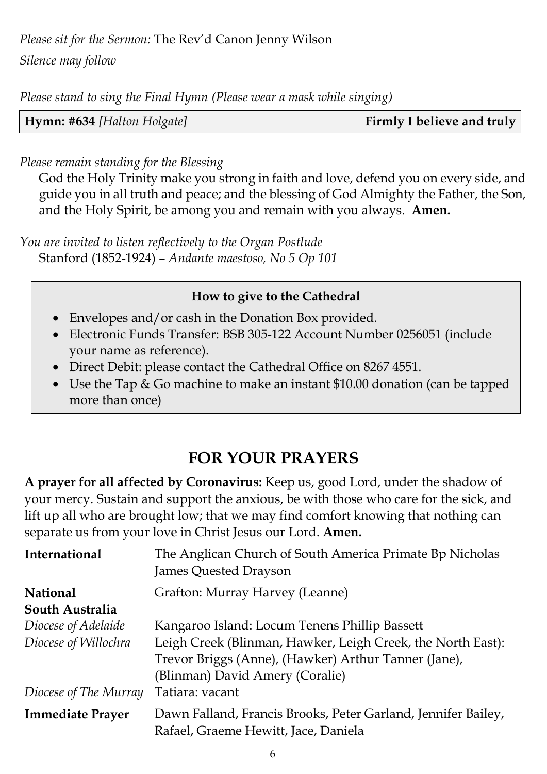# *Please sit for the Sermon:* The Rev'd Canon Jenny Wilson *Silence may follow*

*Please stand to sing the Final Hymn (Please wear a mask while singing)*

| <b>Hymn: #634</b> [Halton Holgate] | Firmly I believe and truly $ $ |
|------------------------------------|--------------------------------|
|------------------------------------|--------------------------------|

## *Please remain standing for the Blessing*

God the Holy Trinity make you strong in faith and love, defend you on every side, and guide you in all truth and peace; and the blessing of God Almighty the Father, the Son, and the Holy Spirit, be among you and remain with you always. **Amen.** 

*You are invited to listen reflectively to the Organ Postlude* Stanford (1852-1924) – *Andante maestoso, No 5 Op 101*

## **How to give to the Cathedral**

- Envelopes and/or cash in the Donation Box provided.
- Electronic Funds Transfer: BSB 305-122 Account Number 0256051 (include your name as reference).
- Direct Debit: please contact the Cathedral Office on 8267 4551.
- Use the Tap & Go machine to make an instant \$10.00 donation (can be tapped more than once)

# **FOR YOUR PRAYERS**

**A prayer for all affected by Coronavirus:** Keep us, good Lord, under the shadow of your mercy. Sustain and support the anxious, be with those who care for the sick, and lift up all who are brought low; that we may find comfort knowing that nothing can separate us from your love in Christ Jesus our Lord. **Amen.**

| International           | The Anglican Church of South America Primate Bp Nicholas<br>James Quested Drayson                                                                      |
|-------------------------|--------------------------------------------------------------------------------------------------------------------------------------------------------|
| <b>National</b>         | Grafton: Murray Harvey (Leanne)                                                                                                                        |
| South Australia         |                                                                                                                                                        |
| Diocese of Adelaide     | Kangaroo Island: Locum Tenens Phillip Bassett                                                                                                          |
| Diocese of Willochra    | Leigh Creek (Blinman, Hawker, Leigh Creek, the North East):<br>Trevor Briggs (Anne), (Hawker) Arthur Tanner (Jane),<br>(Blinman) David Amery (Coralie) |
| Diocese of The Murray   | Tatiara: vacant                                                                                                                                        |
| <b>Immediate Prayer</b> | Dawn Falland, Francis Brooks, Peter Garland, Jennifer Bailey,<br>Rafael, Graeme Hewitt, Jace, Daniela                                                  |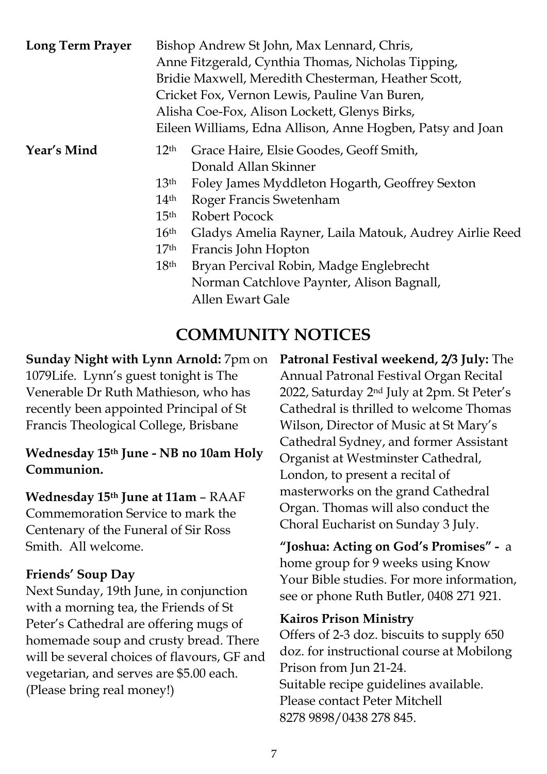| <b>Long Term Prayer</b> |                                                                                                                                          | Bishop Andrew St John, Max Lennard, Chris,<br>Anne Fitzgerald, Cynthia Thomas, Nicholas Tipping,<br>Bridie Maxwell, Meredith Chesterman, Heather Scott,<br>Cricket Fox, Vernon Lewis, Pauline Van Buren,<br>Alisha Coe-Fox, Alison Lockett, Glenys Birks,<br>Eileen Williams, Edna Allison, Anne Hogben, Patsy and Joan                                    |
|-------------------------|------------------------------------------------------------------------------------------------------------------------------------------|------------------------------------------------------------------------------------------------------------------------------------------------------------------------------------------------------------------------------------------------------------------------------------------------------------------------------------------------------------|
| Year's Mind             | 12 <sup>th</sup><br>13 <sup>th</sup><br>14 <sup>th</sup><br>15 <sup>th</sup><br>16 <sup>th</sup><br>17 <sup>th</sup><br>18 <sup>th</sup> | Grace Haire, Elsie Goodes, Geoff Smith,<br>Donald Allan Skinner<br>Foley James Myddleton Hogarth, Geoffrey Sexton<br>Roger Francis Swetenham<br>Robert Pocock<br>Gladys Amelia Rayner, Laila Matouk, Audrey Airlie Reed<br>Francis John Hopton<br>Bryan Percival Robin, Madge Englebrecht<br>Norman Catchlove Paynter, Alison Bagnall,<br>Allen Ewart Gale |

# **COMMUNITY NOTICES**

**Sunday Night with Lynn Arnold:** 7pm on 1079Life. Lynn's guest tonight is The Venerable Dr Ruth Mathieson, who has recently been appointed Principal of St Francis Theological College, Brisbane

## **Wednesday 15th June - NB no 10am Holy Communion.**

**Wednesday 15th June at 11am** – RAAF Commemoration Service to mark the Centenary of the Funeral of Sir Ross Smith.All welcome.

## **Friends' Soup Day**

Next Sunday, 19th June, in conjunction with a morning tea, the Friends of St Peter's Cathedral are offering mugs of homemade soup and crusty bread. There will be several choices of flavours, GF and vegetarian, and serves are \$5.00 each. (Please bring real money!)

**Patronal Festival weekend, 2/3 July:** The Annual Patronal Festival Organ Recital 2022, Saturday 2nd July at 2pm. St Peter's Cathedral is thrilled to welcome Thomas Wilson, Director of Music at St Mary's Cathedral Sydney, and former Assistant Organist at Westminster Cathedral, London, to present a recital of masterworks on the grand Cathedral Organ. Thomas will also conduct the Choral Eucharist on Sunday 3 July.

**"Joshua: Acting on God's Promises" -** a home group for 9 weeks using Know Your Bible studies. For more information, see or phone Ruth Butler, 0408 271 921.

## **Kairos Prison Ministry**

Offers of 2-3 doz. biscuits to supply 650 doz. for instructional course at Mobilong Prison from Jun 21-24. Suitable recipe guidelines available. Please contact Peter Mitchell 8278 9898/0438 278 845.